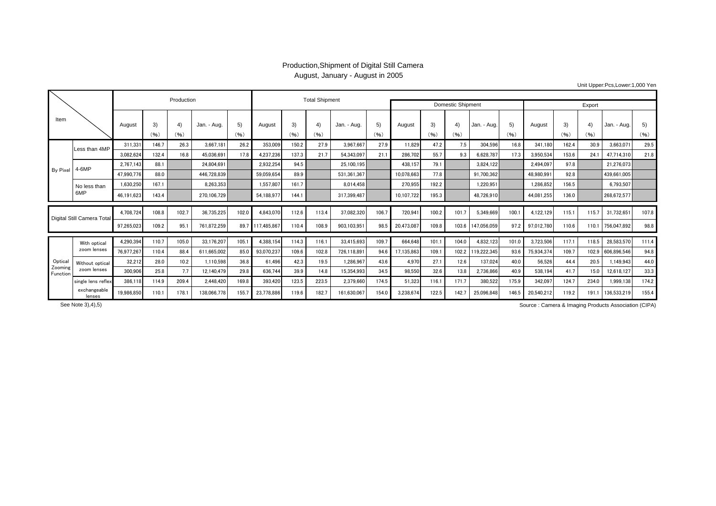## Production,Shipment of Digital Still Camera August, January - August in 2005

Unit Upper:Pcs,Lower:1,000 Yen

| Item                       |                             |            |            | Production |             |            |                  | <b>Total Shipment</b> |            |             |            |                          |            |            |             |            |            |            |            |                   |            |
|----------------------------|-----------------------------|------------|------------|------------|-------------|------------|------------------|-----------------------|------------|-------------|------------|--------------------------|------------|------------|-------------|------------|------------|------------|------------|-------------------|------------|
|                            |                             |            |            |            |             |            |                  |                       |            |             |            | <b>Domestic Shipment</b> | Export     |            |             |            |            |            |            |                   |            |
|                            |                             | August     | 3)<br>(96) | 4)<br>(96) | Jan. - Aug. | 5)<br>(96) | August           | 3)<br>(96)            | 4)<br>(96) | Jan. - Aug. | 5)<br>(96) | August                   | 3)<br>(96) | 4)<br>(96) | Jan. - Aug. | 5)<br>(96) | August     | 3)<br>(96) | 4)<br>(96) | Jan. - Aug.       | 5)<br>(96) |
| <b>By Pixel</b>            | Less than 4MP               | 311.331    | 146.7      | 26.3       | 3.667.181   | 26.2       | 353.009          | 150.2                 | 27.9       | 3.967.667   | 27.9       | 11.829                   | 47.2       | 7.5        | 304.596     | 16.8       | 341.180    | 162.4      | 30.9       | 3.663.071         | 29.5       |
|                            |                             | 3,082,624  | 132.4      | 16.8       | 45.036.691  | 17.8       | 4,237,236        | 137.3                 | 21.7       | 54,343,097  | 21.1       | 286,702                  | 55.7       | 9.3        | 6,628,787   | 17.3       | 3,950,534  | 153.6      | 24.1       | 47,714,310        | 21.8       |
|                            | 4-6MP                       | 2,767,143  | 88.1       |            | 24.804.691  |            | 2.932.254        | 94.5                  |            | 25.100.195  |            | 438.157                  | 79.1       |            | 3.824.122   |            | 2.494.097  | 97.8       |            | 21.276.073        |            |
|                            |                             | 47,990,776 | 88.0       |            | 446.728.839 |            | 59.059.654       | 89.9                  |            | 531.361.367 |            | 10.078.663               | 77.8       |            | 91,700,362  |            | 48.980.991 | 92.8       |            | 439,661,005       |            |
|                            | No less than<br>6MP         | 1,630,250  | 167.1      |            | 8.263.353   |            | 1,557,807        | 161.7                 |            | 8.014.458   |            | 270,955                  | 192.2      |            | 1.220.951   |            | 1.286.852  | 156.5      |            | 6.793.507         |            |
|                            |                             | 46,191,623 | 143.4      |            | 270,106,729 |            | 54,188,977       | 144.1                 |            | 317.399.487 |            | 10,107,722               | 195.3      |            | 48,726,910  |            | 44.081.255 | 136.0      |            | 268,672,577       |            |
| Digital Still Camera Total |                             | 4,708,724  | 108.8      | 102.7      | 36,735,225  | 102.0      | 4.843.070        | 112.6                 | 113.4      | 37,082,320  | 106.7      | 720,941                  | 100.2      | 101.7      | 5,349,669   | 100.1      | 4,122,129  | 115.1      | 115.7      | 31,732,651        | 107.8      |
|                            |                             | 97,265,023 | 109.2      | 95.1       | 761,872,259 |            | 89.7 117,485,867 | 110.4                 | 108.9      | 903,103,951 | 98.5       | 20,473,087               | 109.8      | 103.6      | 147,056,059 | 97.2       | 97,012,780 | 110.6      | 110.1      | 756,047,892       | 98.8       |
|                            | With optical<br>zoom lenses | 4,290,394  | 110.7      | 105.0      | 33.176.207  | 105.1      | 4,388,154        | 114.3                 | 116.1      | 33,415,693  | 109.7      | 664.648                  | 101.1      | 104.0      | 4,832,123   | 101.0      | 3,723,506  | 117.1      | 118.5      | 28,583,570        | 111.4      |
|                            |                             | 76.977.267 | 110.4      | 88.4       | 611.665.002 | 85.0       | 93.070.237       | 109.6                 | 102.8      | 726.118.891 | 94.6       | 17,135,863               | 109.       | 102.2      | 119.222.345 | 93.6       | 75.934.374 | 109.7      |            | 102.9 606.896.546 | 94.8       |
| Optical                    | Without optical             | 32,212     | 28.0       | 10.2       | 1.110.598   | 36.8       | 61.496           | 42.3                  | 19.5       | 1.286.967   | 43.6       | 4,970                    | 27.1       | 12.6       | 137.024     | 40.0       | 56.526     | 44.4       | 20.5       | 1.149.943         | 44.0       |
| Zooming<br>Function        | zoom lenses                 | 300.906    | 25.8       | 7.7        | 12.140.479  | 29.8       | 636.744          | 39.9                  | 14.8       | 15.354.993  | 34.5       | 98.550                   | 32.6       | 13.8       | 2,736,866   | 40.9       | 538.194    | 41.7       | 15.0       | 12,618,127        | 33.3       |
|                            | single lens reflex          | 386,118    | 114.9      | 209.4      | 2.448.420   | 169.8      | 393,420          | 123.5                 | 223.5      | 2,379,660   | 174.5      | 51,323                   | 116.1      | 171.7      | 380,522     | 175.9      | 342,097    | 124.7      | 234.0      | 1,999,138         | 174.2      |
|                            | exchangeable<br>lenses      | 19,986,850 | 110.1      | 178.1      | 138,066,778 | 155.7      | 23,778,886       | 119.6                 | 182.7      | 161,630,067 | 154.0      | 3,238,674                | 122.5      | 142.7      | 25,096,848  | 146.5      | 20,540,212 | 119.2      | 191.1      | 136,533,219       | 155.4      |

Source : Camera & Imaging Products Association (CIPA) Source : Camera & Imaging Products Association (CIPA)